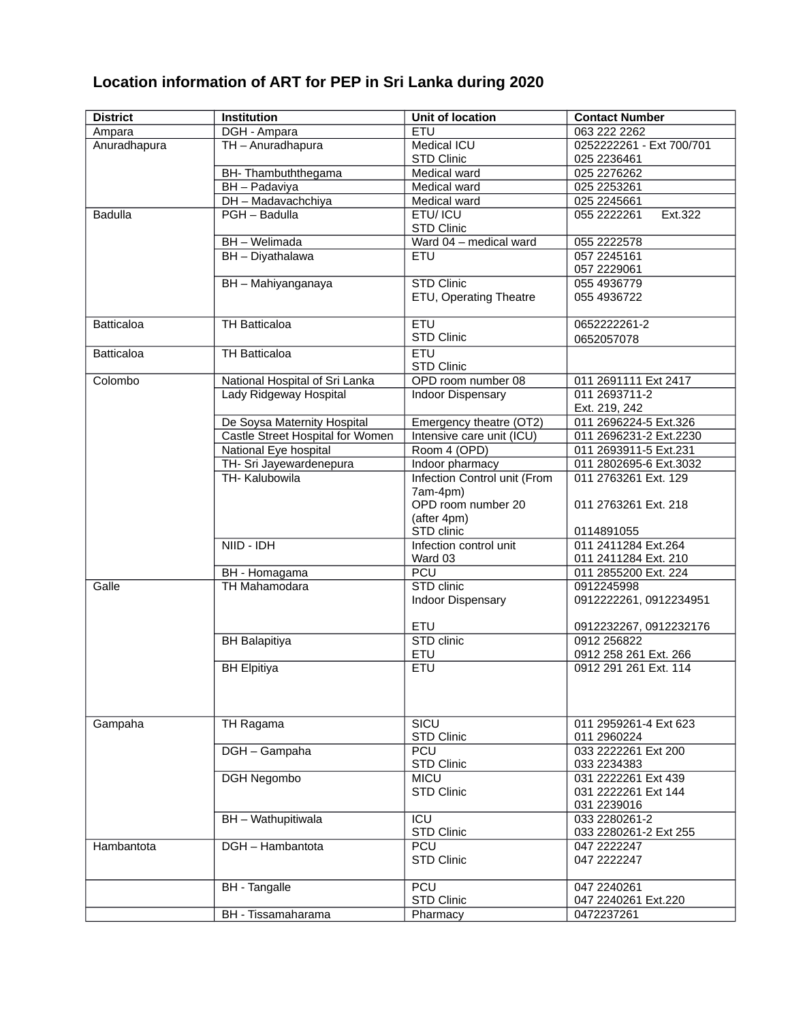## **Location information of ART for PEP in Sri Lanka during 2020**

| <b>District</b>   | Institution                      | <b>Unit of location</b>      | <b>Contact Number</b>    |
|-------------------|----------------------------------|------------------------------|--------------------------|
| Ampara            | DGH - Ampara                     | ETU                          | 063 222 2262             |
| Anuradhapura      | TH - Anuradhapura                | Medical ICU                  | 0252222261 - Ext 700/701 |
|                   |                                  | <b>STD Clinic</b>            | 025 2236461              |
|                   | BH-Thambuththegama               | Medical ward                 | 025 2276262              |
|                   | BH - Padaviya                    | Medical ward                 | 025 2253261              |
|                   | DH - Madavachchiya               | <b>Medical ward</b>          | 025 2245661              |
| <b>Badulla</b>    | PGH - Badulla                    | ETU/ ICU                     | 055 2222261<br>Ext.322   |
|                   |                                  | <b>STD Clinic</b>            |                          |
|                   | BH - Welimada                    | Ward 04 - medical ward       | 055 2222578              |
|                   | BH - Diyathalawa                 | <b>ETU</b>                   | 057 2245161              |
|                   |                                  |                              | 057 2229061              |
|                   | BH - Mahiyanganaya               | <b>STD Clinic</b>            | 055 4936779              |
|                   |                                  | ETU, Operating Theatre       | 055 4936722              |
|                   |                                  |                              |                          |
| <b>Batticaloa</b> | TH Batticaloa                    | ETU                          | 0652222261-2             |
|                   |                                  | <b>STD Clinic</b>            | 0652057078               |
| <b>Batticaloa</b> | <b>TH Batticaloa</b>             | <b>ETU</b>                   |                          |
|                   |                                  | <b>STD Clinic</b>            |                          |
| Colombo           | National Hospital of Sri Lanka   | OPD room number 08           | 011 2691111 Ext 2417     |
|                   | Lady Ridgeway Hospital           | Indoor Dispensary            | 011 2693711-2            |
|                   |                                  |                              | Ext. 219, 242            |
|                   | De Soysa Maternity Hospital      | Emergency theatre (OT2)      | 011 2696224-5 Ext.326    |
|                   | Castle Street Hospital for Women | Intensive care unit (ICU)    | 011 2696231-2 Ext.2230   |
|                   | National Eye hospital            | Room 4 (OPD)                 | 011 2693911-5 Ext.231    |
|                   | TH- Sri Jayewardenepura          | Indoor pharmacy              | 011 2802695-6 Ext.3032   |
|                   | TH-Kalubowila                    | Infection Control unit (From | 011 2763261 Ext. 129     |
|                   |                                  | 7am-4pm)                     |                          |
|                   |                                  | OPD room number 20           | 011 2763261 Ext. 218     |
|                   |                                  | (after 4pm)                  |                          |
|                   |                                  | STD clinic                   | 0114891055               |
|                   | NIID - IDH                       | Infection control unit       | 011 2411284 Ext.264      |
|                   |                                  | Ward 03                      | 011 2411284 Ext. 210     |
|                   | BH - Homagama                    | PCU                          | 011 2855200 Ext. 224     |
| Galle             | TH Mahamodara                    | STD clinic                   | 0912245998               |
|                   |                                  | Indoor Dispensary            | 0912222261, 0912234951   |
|                   |                                  |                              |                          |
|                   |                                  | <b>ETU</b>                   | 0912232267, 0912232176   |
|                   | <b>BH Balapitiya</b>             | STD clinic                   | 0912 256822              |
|                   |                                  | ETU                          | 0912 258 261 Ext. 266    |
|                   | <b>BH Elpitiya</b>               | ETU                          | 0912 291 261 Ext. 114    |
|                   |                                  |                              |                          |
|                   |                                  |                              |                          |
|                   |                                  |                              |                          |
| Gampaha           | TH Ragama                        | SICU                         | 011 2959261-4 Ext 623    |
|                   |                                  | <b>STD Clinic</b>            | 011 2960224              |
|                   | DGH - Gampaha                    | PCU                          | 033 2222261 Ext 200      |
|                   |                                  | <b>STD Clinic</b>            | 033 2234383              |
|                   | <b>DGH Negombo</b>               | <b>MICU</b>                  | 031 2222261 Ext 439      |
|                   |                                  | <b>STD Clinic</b>            | 031 2222261 Ext 144      |
|                   |                                  |                              | 031 2239016              |
|                   | BH - Wathupitiwala               | ICU                          | 033 2280261-2            |
|                   |                                  | <b>STD Clinic</b>            | 033 2280261-2 Ext 255    |
| Hambantota        | DGH - Hambantota                 | <b>PCU</b>                   | 047 2222247              |
|                   |                                  | <b>STD Clinic</b>            | 047 2222247              |
|                   |                                  |                              |                          |
|                   | <b>BH</b> - Tangalle             | PCU                          | 047 2240261              |
|                   |                                  | <b>STD Clinic</b>            | 047 2240261 Ext.220      |
|                   | BH - Tissamaharama               | Pharmacy                     | 0472237261               |
|                   |                                  |                              |                          |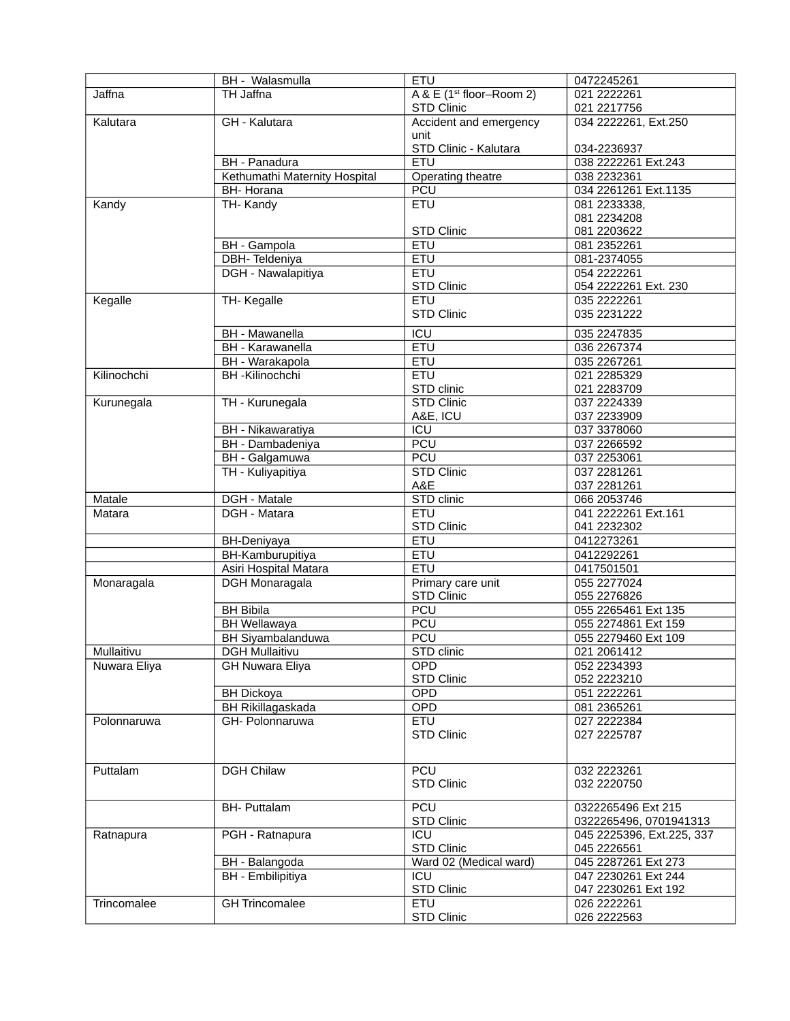|               | BH - Walasmulla               | <b>ETU</b>                             | 0472245261                |
|---------------|-------------------------------|----------------------------------------|---------------------------|
| <b>Jaffna</b> | TH Jaffna                     | $A & E$ (1 <sup>st</sup> floor-Room 2) | 021 2222261               |
|               |                               | STD Clinic                             | 021 2217756               |
| Kalutara      | GH - Kalutara                 | Accident and emergency                 | 034 2222261, Ext.250      |
|               |                               | unit                                   |                           |
|               |                               | STD Clinic - Kalutara                  | 034-2236937               |
|               | <b>BH</b> - Panadura          | <b>ETU</b>                             | 038 2222261 Ext.243       |
|               | Kethumathi Maternity Hospital | Operating theatre                      | 038 2232361               |
|               | <b>BH- Horana</b>             | <b>PCU</b>                             | 034 2261261 Ext.1135      |
| Kandy         | TH-Kandy                      | <b>ETU</b>                             | 081 2233338,              |
|               |                               |                                        | 081 2234208               |
|               |                               | <b>STD Clinic</b>                      | 081 2203622               |
|               | <b>BH</b> - Gampola           | ETU                                    | 081 2352261               |
|               | DBH-Teldeniya                 | ETU                                    | 081-2374055               |
|               | DGH - Nawalapitiya            | <b>ETU</b>                             | 054 2222261               |
|               |                               | <b>STD Clinic</b>                      | 054 2222261 Ext. 230      |
| Kegalle       | TH-Kegalle                    | <b>ETU</b>                             | 035 2222261               |
|               |                               | <b>STD Clinic</b>                      | 035 2231222               |
|               | <b>BH</b> - Mawanella         | $\overline{ICU}$                       | 035 2247835               |
|               | <b>BH</b> - Karawanella       | <b>ETU</b>                             | 036 2267374               |
|               | BH - Warakapola               | <b>ETU</b>                             | 035 2267261               |
| Kilinochchi   | <b>BH-Kilinochchi</b>         | ETU                                    | 021 2285329               |
|               |                               | STD clinic                             | 021 2283709               |
| Kurunegala    | TH - Kurunegala               | <b>STD Clinic</b>                      | 037 2224339               |
|               |                               | A&E, ICU                               | 037 2233909               |
|               | <b>BH</b> - Nikawaratiya      | ICU                                    | 037 3378060               |
|               | BH - Dambadeniya              | <b>PCU</b>                             | 037 2266592               |
|               | BH - Galgamuwa                | <b>PCU</b>                             | 037 2253061               |
|               | TH - Kuliyapitiya             | <b>STD Clinic</b>                      | 037 2281261               |
|               |                               | A&E                                    | 037 2281261               |
| Matale        | DGH - Matale                  | STD clinic                             | 066 2053746               |
| Matara        | DGH - Matara                  | <b>ETU</b>                             | 041 2222261 Ext.161       |
|               |                               | <b>STD Clinic</b>                      | 041 2232302               |
|               | BH-Deniyaya                   | <b>ETU</b>                             | 0412273261                |
|               | BH-Kamburupitiya              | ETU                                    | 0412292261                |
|               | Asiri Hospital Matara         | <b>ETU</b>                             | 0417501501                |
| Monaragala    | <b>DGH Monaragala</b>         | Primary care unit                      | 055 2277024               |
|               |                               | <b>STD Clinic</b>                      | 055 2276826               |
|               | <b>BH Bibila</b>              | <b>PCU</b>                             | 055 2265461 Ext 135       |
|               | <b>BH Wellawaya</b>           | <b>PCU</b>                             | 055 2274861 Ext 159       |
|               | <b>BH</b> Siyambalanduwa      | <b>PCU</b>                             | 055 2279460 Ext 109       |
| Mullaitivu    | <b>DGH Mullaitivu</b>         | STD clinic                             | 021 2061412               |
| Nuwara Eliya  | <b>GH Nuwara Eliya</b>        | <b>OPD</b>                             | 052 2234393               |
|               |                               | STD Clinic                             | 052 2223210               |
|               | <b>BH Dickoya</b>             | <b>OPD</b>                             | 051 2222261               |
|               | <b>BH Rikillagaskada</b>      | OPD                                    | 081 2365261               |
| Polonnaruwa   | GH- Polonnaruwa               | <b>ETU</b>                             | 027 2222384               |
|               |                               | <b>STD Clinic</b>                      | 027 2225787               |
|               |                               |                                        |                           |
| Puttalam      | <b>DGH Chilaw</b>             | PCU                                    | 032 2223261               |
|               |                               | <b>STD Clinic</b>                      | 032 2220750               |
|               |                               |                                        |                           |
|               | <b>BH- Puttalam</b>           | PCU                                    | 0322265496 Ext 215        |
|               |                               | <b>STD Clinic</b>                      | 0322265496, 0701941313    |
| Ratnapura     | PGH - Ratnapura               | ICU                                    | 045 2225396, Ext.225, 337 |
|               |                               | <b>STD Clinic</b>                      | 045 2226561               |
|               | BH - Balangoda                | Ward 02 (Medical ward)                 | 045 2287261 Ext 273       |
|               | BH - Embilipitiya             | ICU                                    | 047 2230261 Ext 244       |
|               |                               | STD Clinic                             | 047 2230261 Ext 192       |
| Trincomalee   | <b>GH Trincomalee</b>         | <b>ETU</b>                             | 026 2222261               |
|               |                               | <b>STD Clinic</b>                      | 026 2222563               |